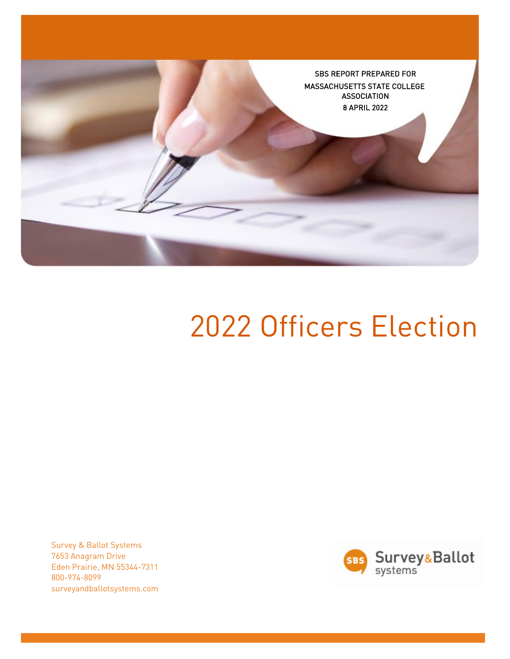

# 2022 Officers Election

Survey & Ballot Systems 7653 Anagram Drive Eden Prairie, MN 55344-7311 800-974-8099 surveyandballotsystems.com

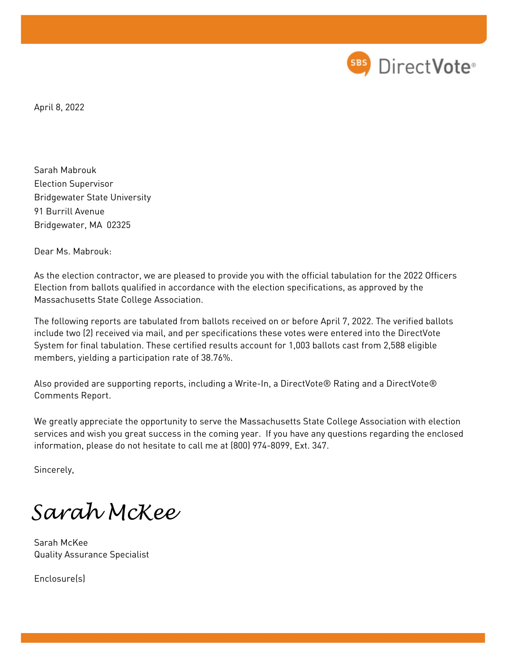

April 8, 2022

Sarah Mabrouk Election Supervisor Bridgewater State University 91 Burrill Avenue Bridgewater, MA 02325

Dear Ms. Mabrouk:

As the election contractor, we are pleased to provide you with the official tabulation for the 2022 Officers Election from ballots qualified in accordance with the election specifications, as approved by the Massachusetts State College Association.

The following reports are tabulated from ballots received on or before April 7, 2022. The verified ballots include two (2) received via mail, and per specifications these votes were entered into the DirectVote System for final tabulation. These certified results account for 1,003 ballots cast from 2,588 eligible members, yielding a participation rate of 38.76%.

Also provided are supporting reports, including a Write-In, a DirectVote® Rating and a DirectVote® Comments Report.

We greatly appreciate the opportunity to serve the Massachusetts State College Association with election services and wish you great success in the coming year. If you have any questions regarding the enclosed information, please do not hesitate to call me at (800) 974-8099, Ext. 347.

Sincerely,

*Sarah McKee* 

Sarah McKee Quality Assurance Specialist

Enclosure(s)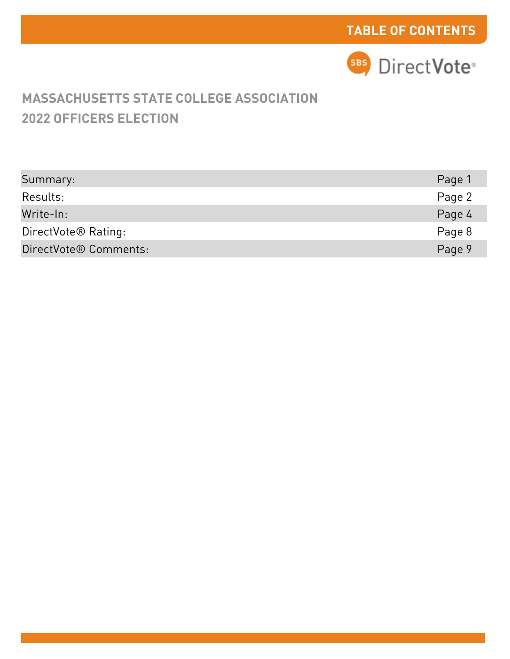

# **2022 OFFICERS ELECTION MASSACHUSETTS STATE COLLEGE ASSOCIATION**

| Summary:                        | Page 1 |
|---------------------------------|--------|
| Results:                        | Page 2 |
| Write-In:                       | Page 4 |
| DirectVote <sup>®</sup> Rating: | Page 8 |
| DirectVote® Comments:           | Page 9 |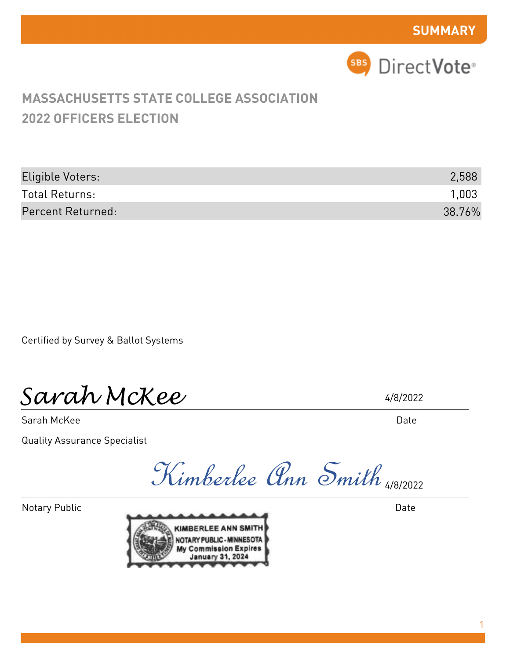

| Eligible Voters:  | 2,588  |
|-------------------|--------|
| Total Returns:    | 1,003  |
| Percent Returned: | 38.76% |

Certified by Survey & Ballot Systems

*Sarah McKee* 

Sarah McKee

Quality Assurance Specialist

4/8/2022

Date

Kimberlee Ann Smith 4/8/2022

Notary Public



Date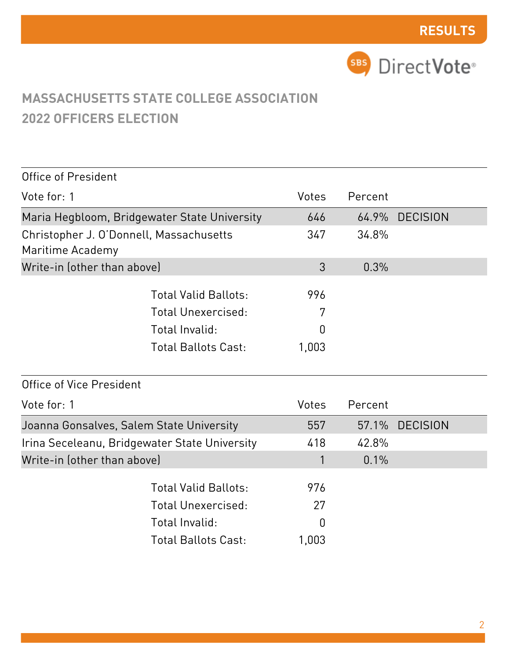

| Office of President                                         |                             |       |         |                 |  |
|-------------------------------------------------------------|-----------------------------|-------|---------|-----------------|--|
| Vote for: 1                                                 |                             | Votes | Percent |                 |  |
| Maria Hegbloom, Bridgewater State University                |                             | 646   | 64.9%   | <b>DECISION</b> |  |
| Christopher J. O'Donnell, Massachusetts<br>Maritime Academy |                             | 347   | 34.8%   |                 |  |
| Write-in (other than above)                                 |                             | 3     | 0.3%    |                 |  |
|                                                             | <b>Total Valid Ballots:</b> | 996   |         |                 |  |
|                                                             | Total Unexercised:          | 7     |         |                 |  |
|                                                             | Total Invalid:              | 0     |         |                 |  |
|                                                             | <b>Total Ballots Cast:</b>  | 1,003 |         |                 |  |
| Office of Vice President                                    |                             |       |         |                 |  |
| Vote for: 1                                                 |                             | Votes | Percent |                 |  |
|                                                             |                             |       |         |                 |  |
| Joanna Gonsalves, Salem State University                    |                             | 557   | 57.1%   | <b>DECISION</b> |  |
| Irina Seceleanu, Bridgewater State University               |                             | 418   | 42.8%   |                 |  |
| Write-in (other than above)                                 |                             | 1     | 0.1%    |                 |  |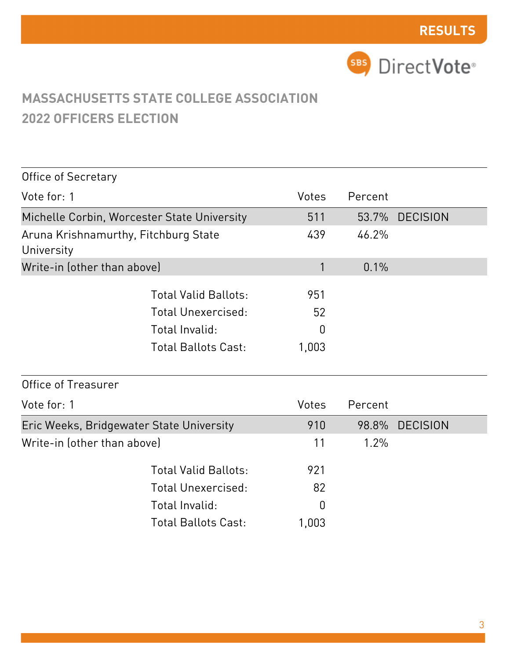

| <b>Office of Secretary</b>                         |                                                                                                          |                                      |         |                 |
|----------------------------------------------------|----------------------------------------------------------------------------------------------------------|--------------------------------------|---------|-----------------|
| Vote for: 1                                        |                                                                                                          | Votes                                | Percent |                 |
| Michelle Corbin, Worcester State University        |                                                                                                          | 511                                  | 53.7%   | <b>DECISION</b> |
| Aruna Krishnamurthy, Fitchburg State<br>University |                                                                                                          | 439                                  | 46.2%   |                 |
| Write-in (other than above)                        |                                                                                                          | 1                                    | 0.1%    |                 |
|                                                    | <b>Total Valid Ballots:</b><br><b>Total Unexercised:</b><br>Total Invalid:<br><b>Total Ballots Cast:</b> | 951<br>52<br>$\overline{0}$<br>1,003 |         |                 |
| Office of Treasurer                                |                                                                                                          |                                      |         |                 |
| Vote for: 1                                        |                                                                                                          | Votes                                | Percent |                 |
| Eric Weeks, Bridgewater State University           |                                                                                                          | 910                                  | 98.8%   | <b>DECISION</b> |
| Write-in (other than above)                        |                                                                                                          | 11                                   | 1.2%    |                 |
|                                                    | <b>Total Valid Ballots:</b><br><b>Total Unexercised:</b><br>Total Invalid:<br><b>Total Ballots Cast:</b> | 921<br>82<br>$\Omega$<br>1,003       |         |                 |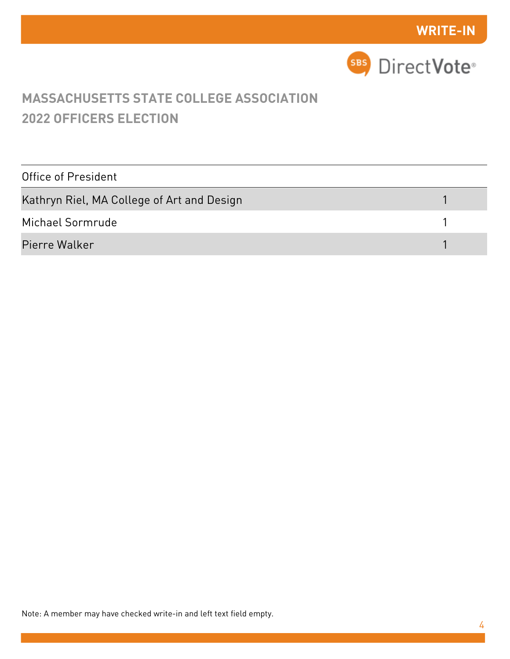

| Office of President                        |  |
|--------------------------------------------|--|
| Kathryn Riel, MA College of Art and Design |  |
| Michael Sormrude                           |  |
| Pierre Walker                              |  |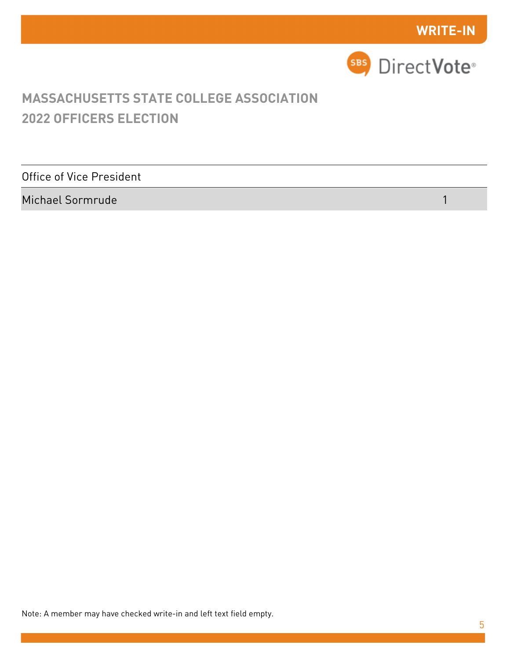

Office of Vice President

Michael Sormrude 1

Note: A member may have checked write-in and left text field empty.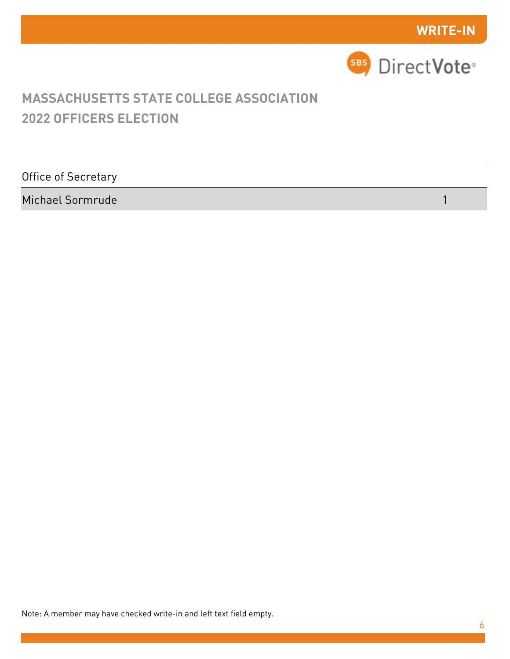

Office of Secretary

Michael Sormrude 1

Note: A member may have checked write-in and left text field empty.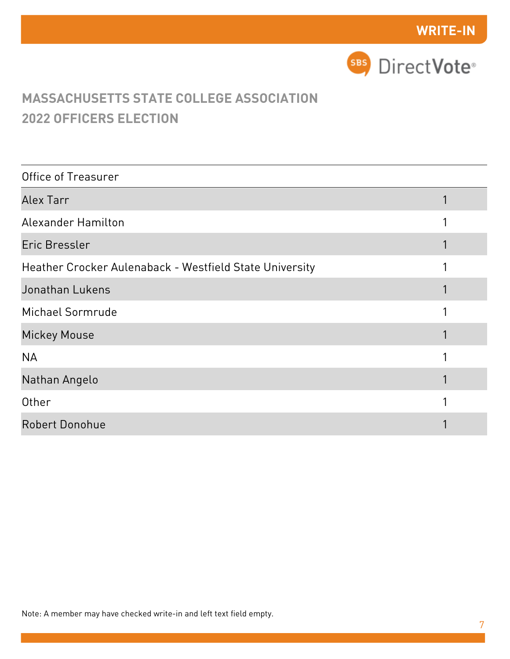

| Office of Treasurer                                     |  |
|---------------------------------------------------------|--|
| Alex Tarr                                               |  |
| <b>Alexander Hamilton</b>                               |  |
| Eric Bressler                                           |  |
| Heather Crocker Aulenaback - Westfield State University |  |
| Jonathan Lukens                                         |  |
| Michael Sormrude                                        |  |
| <b>Mickey Mouse</b>                                     |  |
| <b>NA</b>                                               |  |
| Nathan Angelo                                           |  |
| Other                                                   |  |
| <b>Robert Donohue</b>                                   |  |

Note: A member may have checked write-in and left text field empty.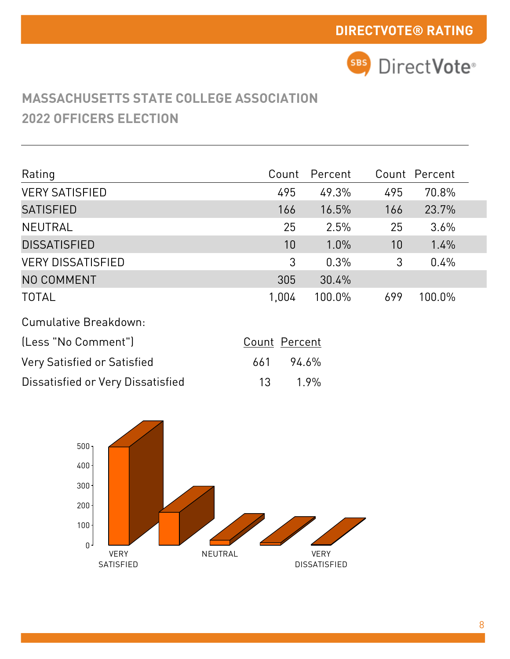

| Rating                      | Count         | Percent |     | Count Percent |
|-----------------------------|---------------|---------|-----|---------------|
| <b>VERY SATISFIED</b>       | 495           | 49.3%   | 495 | 70.8%         |
| <b>SATISFIED</b>            | 166           | 16.5%   | 166 | 23.7%         |
| <b>NEUTRAL</b>              | 25            | 2.5%    | 25  | 3.6%          |
| <b>DISSATISFIED</b>         | 10            | $1.0\%$ | 10  | 1.4%          |
| <b>VERY DISSATISFIED</b>    | 3             | 0.3%    | 3   | 0.4%          |
| NO COMMENT                  | 305           | 30.4%   |     |               |
| <b>TOTAL</b>                | 1,004         | 100.0%  | 699 | 100.0%        |
| Cumulative Breakdown:       |               |         |     |               |
| (Less "No Comment")         | Count Percent |         |     |               |
| Very Satisfied or Satisfied | 661           | 94.6%   |     |               |

| Dissatisfied or Very Dissatisfied | 13 1.9% |
|-----------------------------------|---------|

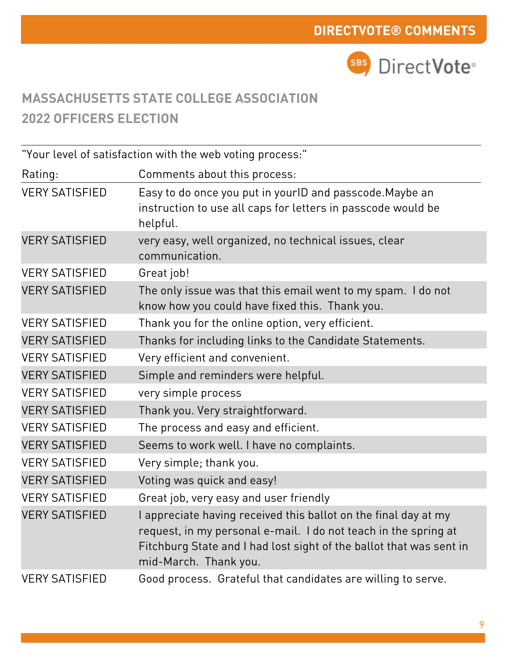

|                       | "Your level of satisfaction with the web voting process:"                                                                                                                                                                        |
|-----------------------|----------------------------------------------------------------------------------------------------------------------------------------------------------------------------------------------------------------------------------|
| Rating:               | Comments about this process:                                                                                                                                                                                                     |
| <b>VERY SATISFIED</b> | Easy to do once you put in yourlD and passcode. Maybe an<br>instruction to use all caps for letters in passcode would be<br>helpful.                                                                                             |
| <b>VERY SATISFIED</b> | very easy, well organized, no technical issues, clear<br>communication.                                                                                                                                                          |
| <b>VERY SATISFIED</b> | Great job!                                                                                                                                                                                                                       |
| <b>VERY SATISFIED</b> | The only issue was that this email went to my spam. I do not<br>know how you could have fixed this. Thank you.                                                                                                                   |
| <b>VERY SATISFIED</b> | Thank you for the online option, very efficient.                                                                                                                                                                                 |
| <b>VERY SATISFIED</b> | Thanks for including links to the Candidate Statements.                                                                                                                                                                          |
| <b>VERY SATISFIED</b> | Very efficient and convenient.                                                                                                                                                                                                   |
| <b>VERY SATISFIED</b> | Simple and reminders were helpful.                                                                                                                                                                                               |
| <b>VERY SATISFIED</b> | very simple process                                                                                                                                                                                                              |
| <b>VERY SATISFIED</b> | Thank you. Very straightforward.                                                                                                                                                                                                 |
| <b>VERY SATISFIED</b> | The process and easy and efficient.                                                                                                                                                                                              |
| <b>VERY SATISFIED</b> | Seems to work well. I have no complaints.                                                                                                                                                                                        |
| <b>VERY SATISFIED</b> | Very simple; thank you.                                                                                                                                                                                                          |
| <b>VERY SATISFIED</b> | Voting was quick and easy!                                                                                                                                                                                                       |
| <b>VERY SATISFIED</b> | Great job, very easy and user friendly                                                                                                                                                                                           |
| <b>VERY SATISFIED</b> | appreciate having received this ballot on the final day at my<br>request, in my personal e-mail. I do not teach in the spring at<br>Fitchburg State and I had lost sight of the ballot that was sent in<br>mid-March. Thank you. |
| <b>VERY SATISFIED</b> | Good process. Grateful that candidates are willing to serve.                                                                                                                                                                     |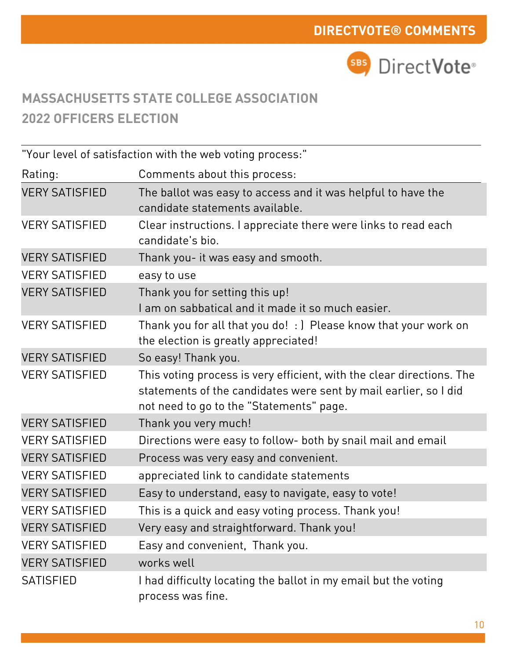

Rating: "Your level of satisfaction with the web voting process:" Comments about this process: VERY SATISFIED The ballot was easy to access and it was helpful to have the candidate statements available. VERY SATISFIED Clear instructions. I appreciate there were links to read each candidate's bio. VERY SATISFIED Thank you- it was easy and smooth. VERY SATISFIED easy to use VERY SATISFIED Thank you for setting this up! I am on sabbatical and it made it so much easier. VERY SATISFIED Thank you for all that you do! : ) Please know that your work on the election is greatly appreciated! VERY SATISFIED So easy! Thank you. VERY SATISFIED This voting process is very efficient, with the clear directions. The statements of the candidates were sent by mail earlier, so I did not need to go to the "Statements" page. VERY SATISFIED Thank you very much! VERY SATISFIED Directions were easy to follow- both by snail mail and email VERY SATISFIED Process was very easy and convenient. VERY SATISFIED appreciated link to candidate statements VERY SATISFIED Easy to understand, easy to navigate, easy to vote! VERY SATISFIED This is a quick and easy voting process. Thank you! VERY SATISFIED Very easy and straightforward. Thank you! VERY SATISFIED Easy and convenient, Thank you. VERY SATISFIED works well SATISFIED I had difficulty locating the ballot in my email but the voting process was fine.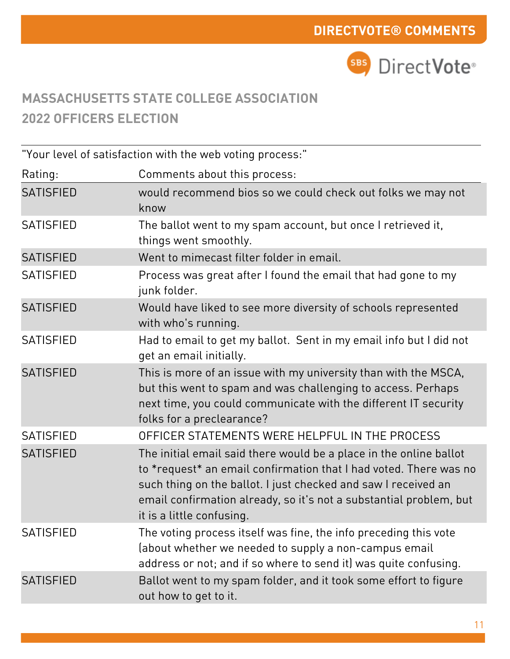

"Your level of satisfaction with the web voting process:"

| Rating:          | Comments about this process:                                                                                                                                                                                                                                                                                 |
|------------------|--------------------------------------------------------------------------------------------------------------------------------------------------------------------------------------------------------------------------------------------------------------------------------------------------------------|
| <b>SATISFIED</b> | would recommend bios so we could check out folks we may not<br>know                                                                                                                                                                                                                                          |
| <b>SATISFIED</b> | The ballot went to my spam account, but once I retrieved it,<br>things went smoothly.                                                                                                                                                                                                                        |
| <b>SATISFIED</b> | Went to mimecast filter folder in email.                                                                                                                                                                                                                                                                     |
| <b>SATISFIED</b> | Process was great after I found the email that had gone to my<br>junk folder.                                                                                                                                                                                                                                |
| <b>SATISFIED</b> | Would have liked to see more diversity of schools represented<br>with who's running.                                                                                                                                                                                                                         |
| <b>SATISFIED</b> | Had to email to get my ballot. Sent in my email info but I did not<br>get an email initially.                                                                                                                                                                                                                |
| <b>SATISFIED</b> | This is more of an issue with my university than with the MSCA,<br>but this went to spam and was challenging to access. Perhaps<br>next time, you could communicate with the different IT security<br>folks for a preclearance?                                                                              |
| <b>SATISFIED</b> | OFFICER STATEMENTS WERE HELPFUL IN THE PROCESS                                                                                                                                                                                                                                                               |
| <b>SATISFIED</b> | The initial email said there would be a place in the online ballot<br>to *request* an email confirmation that I had voted. There was no<br>such thing on the ballot. I just checked and saw I received an<br>email confirmation already, so it's not a substantial problem, but<br>it is a little confusing. |
| <b>SATISFIED</b> | The voting process itself was fine, the info preceding this vote<br>(about whether we needed to supply a non-campus email<br>address or not; and if so where to send it) was quite confusing.                                                                                                                |
| <b>SATISFIED</b> | Ballot went to my spam folder, and it took some effort to figure<br>out how to get to it.                                                                                                                                                                                                                    |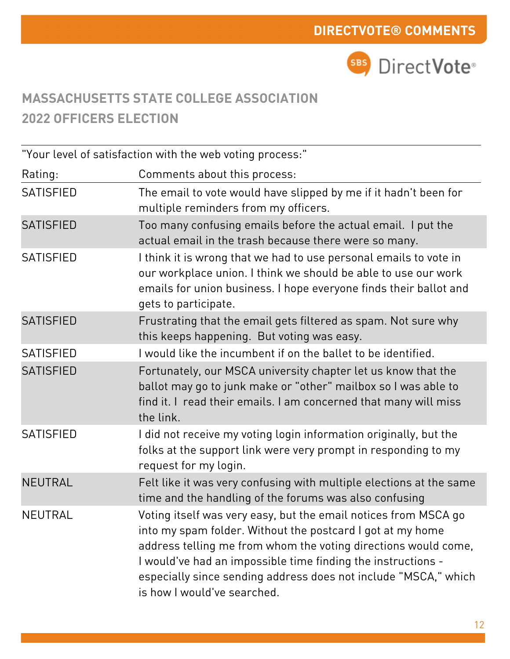

Rating: "Your level of satisfaction with the web voting process:" Comments about this process: SATISFIED The email to vote would have slipped by me if it hadn't been for multiple reminders from my officers. SATISFIED Too many confusing emails before the actual email. I put the actual email in the trash because there were so many. SATISFIED I think it is wrong that we had to use personal emails to vote in our workplace union. I think we should be able to use our work emails for union business. I hope everyone finds their ballot and gets to participate. SATISFIED Frustrating that the email gets filtered as spam. Not sure why this keeps happening. But voting was easy. SATISFIED I would like the incumbent if on the ballet to be identified. SATISFIED Fortunately, our MSCA university chapter let us know that the ballot may go to junk make or "other" mailbox so I was able to find it. I read their emails. I am concerned that many will miss the link. SATISFIED I did not receive my voting login information originally, but the folks at the support link were very prompt in responding to my request for my login. NEUTRAL Felt like it was very confusing with multiple elections at the same time and the handling of the forums was also confusing NEUTRAL Voting itself was very easy, but the email notices from MSCA go into my spam folder. Without the postcard I got at my home address telling me from whom the voting directions would come, I would've had an impossible time finding the instructions especially since sending address does not include "MSCA," which is how I would've searched.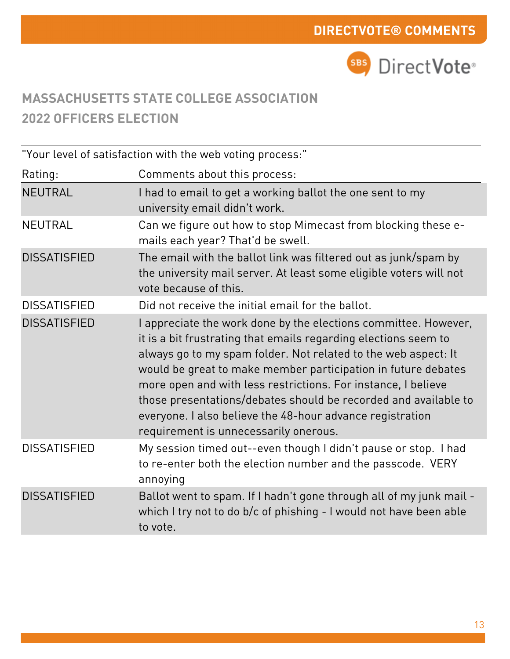

Rating: "Your level of satisfaction with the web voting process:" Comments about this process: NEUTRAL I had to email to get a working ballot the one sent to my university email didn't work. NEUTRAL Can we figure out how to stop Mimecast from blocking these emails each year? That'd be swell. DISSATISFIED The email with the ballot link was filtered out as junk/spam by the university mail server. At least some eligible voters will not vote because of this. DISSATISFIED Did not receive the initial email for the ballot. DISSATISFIED I appreciate the work done by the elections committee. However, it is a bit frustrating that emails regarding elections seem to always go to my spam folder. Not related to the web aspect: It would be great to make member participation in future debates more open and with less restrictions. For instance, I believe those presentations/debates should be recorded and available to everyone. I also believe the 48-hour advance registration requirement is unnecessarily onerous. DISSATISFIED My session timed out--even though I didn't pause or stop. I had to re-enter both the election number and the passcode. VERY annoying DISSATISFIED Ballot went to spam. If I hadn't gone through all of my junk mail which I try not to do b/c of phishing - I would not have been able to vote.